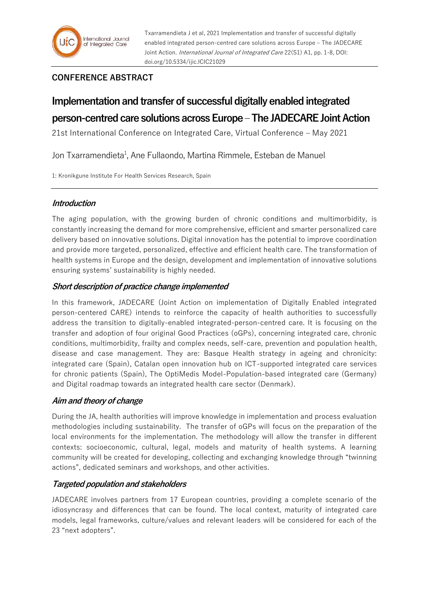Txarramendieta J et al, 2021 Implementation and transfer of successful digitally enabled integrated person-centred care solutions across Europe – The JADECARE Joint Action. *International Journal of Integrated Care* 22(S1) A1, pp. 1-8, DOI: doi.org/10.5334/ijic.ICIC21029

## **CONFERENCE ABSTRACT**

# **Implementation and transfer of successful digitally enabled integrated person-centred care solutions across Europe –The JADECARE Joint Action**

21st International Conference on Integrated Care, Virtual Conference – May 2021

Jon Txarramendieta<sup>1</sup>, Ane Fullaondo, Martina Rimmele, Esteban de Manuel

1: Kronikgune Institute For Health Services Research, Spain

## **Introduction**

The aging population, with the growing burden of chronic conditions and multimorbidity, is constantly increasing the demand for more comprehensive, efficient and smarter personalized care delivery based on innovative solutions. Digital innovation has the potential to improve coordination and provide more targeted, personalized, effective and efficient health care. The transformation of health systems in Europe and the design, development and implementation of innovative solutions ensuring systems' sustainability is highly needed.

#### **Short description of practice change implemented**

In this framework, JADECARE (Joint Action on implementation of Digitally Enabled integrated person-centered CARE) intends to reinforce the capacity of health authorities to successfully address the transition to digitally-enabled integrated-person-centred care. It is focusing on the transfer and adoption of four original Good Practices (oGPs), concerning integrated care, chronic conditions, multimorbidity, frailty and complex needs, self-care, prevention and population health, disease and case management. They are: Basque Health strategy in ageing and chronicity: integrated care (Spain), Catalan open innovation hub on ICT-supported integrated care services for chronic patients (Spain), The OptiMedis Model-Population-based integrated care (Germany) and Digital roadmap towards an integrated health care sector (Denmark).

#### **Aim and theory of change**

During the JA, health authorities will improve knowledge in implementation and process evaluation methodologies including sustainability. The transfer of oGPs will focus on the preparation of the local environments for the implementation. The methodology will allow the transfer in different contexts: socioeconomic, cultural, legal, models and maturity of health systems. A learning community will be created for developing, collecting and exchanging knowledge through "twinning actions", dedicated seminars and workshops, and other activities.

#### **Targeted population and stakeholders**

JADECARE involves partners from 17 European countries, providing a complete scenario of the idiosyncrasy and differences that can be found. The local context, maturity of integrated care models, legal frameworks, culture/values and relevant leaders will be considered for each of the 23 "next adopters".